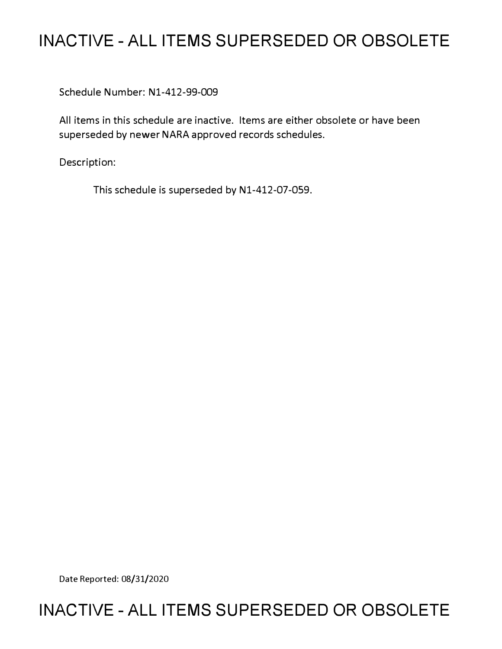# **INACTIVE - ALL ITEMS SUPERSEDED OR OBSOLETE**

Schedule Number: Nl-412-99-009

All items in this schedule are inactive. Items are either obsolete or have been superseded by newer NARA approved records schedules.

Description:

This schedule is superseded by N1-412-07-059.

Date Reported: 08/31/2020

# **INACTIVE - ALL ITEMS SUPERSEDED OR OBSOLETE**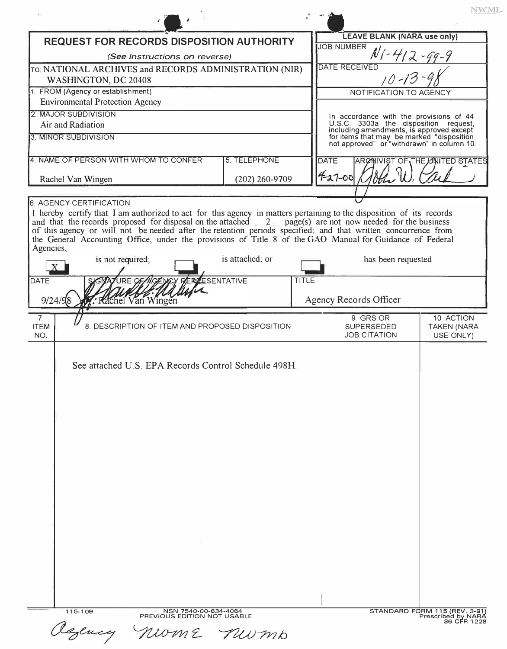|                                                                                                                                                                                                 |                                      |       |                                                                                         | NWML.                                               |  |
|-------------------------------------------------------------------------------------------------------------------------------------------------------------------------------------------------|--------------------------------------|-------|-----------------------------------------------------------------------------------------|-----------------------------------------------------|--|
| REQUEST FOR RECORDS DISPOSITION AUTHORITY                                                                                                                                                       |                                      |       | <b>LEAVE BLANK (NARA use only)</b>                                                      |                                                     |  |
|                                                                                                                                                                                                 |                                      |       | <b>JOB NUMBER</b><br>$N$ 1 - 412 - 99 - 9                                               |                                                     |  |
| (See Instructions on reverse)                                                                                                                                                                   |                                      |       | <b>DATE RECEIVED</b>                                                                    |                                                     |  |
| TO: NATIONAL ARCHIVES and RECORDS ADMINISTRATION (NIR)<br>WASHINGTON, DC 20408                                                                                                                  |                                      |       | $10 - 13$                                                                               |                                                     |  |
| 1. FROM (Agency or establishment)                                                                                                                                                               |                                      |       | NOTIFICATION TO AGENCY                                                                  |                                                     |  |
| <b>Environmental Protection Agency</b>                                                                                                                                                          |                                      |       |                                                                                         |                                                     |  |
| 2. MAJOR SUBDIVISION                                                                                                                                                                            |                                      |       | In accordance with the provisions of 44                                                 |                                                     |  |
| Air and Radiation                                                                                                                                                                               |                                      |       | U.S.C. 3303a the disposition request,<br>including amendments, is approved except       |                                                     |  |
| 3. MINOR SUBDIVISION                                                                                                                                                                            |                                      |       | for items that may be marked "disposition<br>not approved" or "withdrawn" in column 10. |                                                     |  |
| 4. NAME OF PERSON WITH WHOM TO CONFER                                                                                                                                                           | 5. TELEPHONE                         |       | <b>DATE</b>                                                                             | ARCHIVIST OF THE UNITED STATES                      |  |
| Rachel Van Wingen                                                                                                                                                                               | $(202)$ 260-9709                     |       | 42700                                                                                   |                                                     |  |
| <b>6. AGENCY CERTIFICATION</b>                                                                                                                                                                  |                                      |       |                                                                                         |                                                     |  |
| the General Accounting Office, under the provisions of Title 8 of the GAO Manual for Guidance of Federal<br>Agencies,<br>is not required;<br><b>DATE</b><br><b>Rachel Van Wingen</b><br>9/24/98 | is attached; or<br><b>ESENTATIVE</b> | TITLE | has been requested<br>Agency Records Officer                                            |                                                     |  |
|                                                                                                                                                                                                 |                                      |       |                                                                                         |                                                     |  |
| 7 <sub>1</sub><br>8. DESCRIPTION OF ITEM AND PROPOSED DISPOSITION<br><b>ITEM</b><br>NO.                                                                                                         |                                      |       | 9 GRS OR<br><b>SUPERSEDED</b><br><b>JOB CITATION</b>                                    | 10 ACTION<br><b>TAKEN (NARA</b><br>USE ONLY)        |  |
| See attached U.S. EPA Records Control Schedule 498H.<br>-75                                                                                                                                     |                                      |       |                                                                                         |                                                     |  |
| NSN 7540-00-634-4064<br>115-109<br>PREVIOUS EDITION NOT USABLE                                                                                                                                  |                                      |       |                                                                                         | STANDARD FORM 115 (REV. 3-91)<br>Prescribed by NARA |  |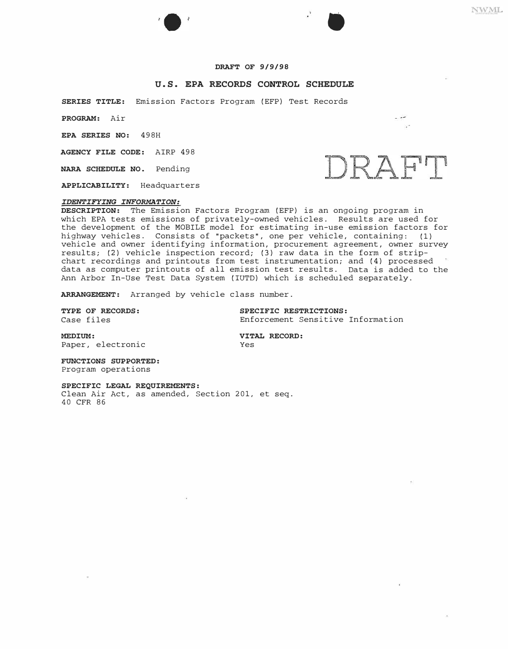## **DRAFT OF 9/9/98**

### **U.S. EPA RECORDS CONTROL SCHEDULE**

**SERIES TITLE:** Emission Factors Program (EFP) Test Records

**PROGRAM:** Air

**EPA SERIES NO:** 498H

**AGENCY FILE CODE:** AIRP 498

**NARA SCHEDULE NO.** Pending

**APPLICABILITY:** Headquarters

#### *IDENTIFYING INFORMATION:*

**DESCRIPTION:** The Emission Factors Program (EFP) is an ongoing program in which EPA tests emissions of privately-owned vehicles. Results are used for the development of the MOBILE model for estimating in-use emission factors for highway vehicles. Consists of "packets", one per vehicle, containing: (1) vehicle and owner identifying information, procurement agreement, owner survey results; (2) vehicle inspection record; (3) raw data in the form of stripchart recordings and printouts from test instrumentation; and (4) processed data as computer printouts of all emission test results. Data is added to the Ann Arbor In-Use Test Data System (IUTD) which is scheduled separately.

**ARRANGEMENT:** Arranged by vehicle class number.

**TYPE OF RECORDS: SPECIFIC RESTRICTIONS:**  Enforcement Sensitive Information

**MEDIUM: VITAL**  Paper, electronic Yes

**VITAL RECORD:** 

**FUNCTIONS SUPPORTED:**  Program operations

#### **SPECIFIC LEGAL REQUIREMENTS:**

Clean Air Act, as amended, Section 201, et seq. 40 CFR 86



•